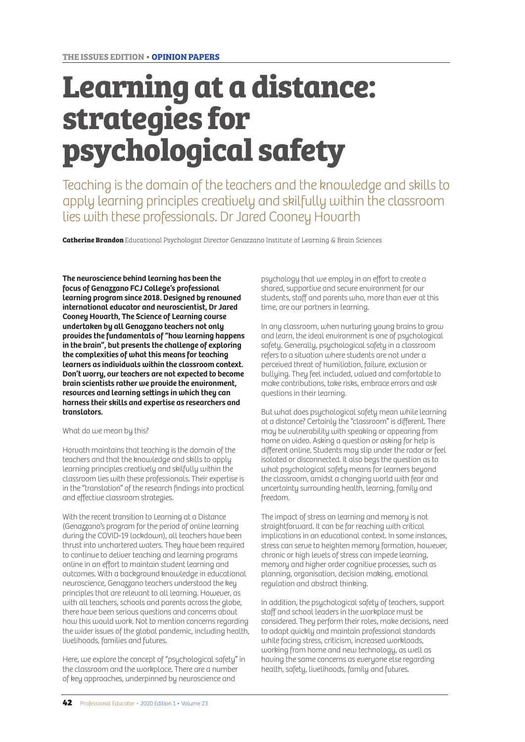# **Learning at a distance: strategies for psychological safety**

Teaching is the domain of the teachers and the knowledge and skills to apply learning principles creatively and skilfully within the classroom lies with these professionals. Dr Jared Cooney Hovarth

**Catherine Brandon** Educational Psychologist Director Genazzano Institute of Learning & Brain Sciences

**The neuroscience behind learning has been the focus of Genazzano FCJ College's professional learning program since 2018. Designed by renowned international educator and neuroscientist, Dr Jared Cooney Hovarth, The Science of Learning course undertaken by all Genazzano teachers not only provides the fundamentals of "how learning happens in the brain", but presents the challenge of exploring the complexities of what this means for teaching learners as individuals within the classroom context. Don't worry, our teachers are not expected to become brain scientists rather we provide the environment, resources and learning settings in which they can harness their skills and expertise as researchers and translators.** 

What do we mean by this?

Horvath maintains that teaching is the domain of the teachers and that the knowledge and skills to apply learning principles creatively and skilfully within the classroom lies with these professionals. Their expertise is in the "translation" of the research findings into practical and effective classroom strategies.

With the recent transition to Learning at a Distance (Genazzano's program for the period of online learning during the COVID-19 lockdown), all teachers have been thrust into unchartered waters. They have been required to continue to deliver teaching and learning programs online in an effort to maintain student learning and outcomes. With a background knowledge in educational neuroscience, Genazzano teachers understood the key principles that are relevant to all learning. However, as with all teachers, schools and parents across the globe, there have been serious questions and concerns about how this would work. Not to mention concerns regarding the wider issues of the global pandemic, including health, livelihoods, families and futures.

Here, we explore the concept of "psychological safety" in the classroom and the workplace. There are a number of key approaches, underpinned by neuroscience and

psychology that we employ in an effort to create a shared, supportive and secure environment for our students, staff and parents who, more than ever at this time, are our partners in learning.

In any classroom, when nurturing young brains to grow and learn, the ideal environment is one of psychological safety. Generally, psychological safety in a classroom refers to a situation where students are not under a perceived threat of humiliation, failure, exclusion or bullying. They feel included, valued and comfortable to make contributions, take risks, embrace errors and ask questions in their learning.

But what does psychological safety mean while learning at a distance? Certainly the "classroom" is different. There may be vulnerability with speaking or appearing from home on video. Asking a question or asking for help is different online. Students may slip under the radar or feel isolated or disconnected. It also begs the question as to what psychological safety means for learners beyond the classroom, amidst a changing world with fear and uncertainty surrounding health, learning, family and freedom.

The impact of stress on learning and memory is not straightforward. It can be far reaching with critical implications in an educational context. In some instances, stress can serve to heighten memory formation, however, chronic or high levels of stress can impede learning, memory and higher order cognitive processes, such as planning, organisation, decision making, emotional regulation and abstract thinking.

In addition, the psychological safety of teachers, support staff and school leaders in the workplace must be considered. They perform their roles, make decisions, need to adapt quickly and maintain professional standards while facing stress, criticism, increased workloads, working from home and new technology, as well as having the same concerns as everyone else regarding health, safety, livelihoods, family and futures.